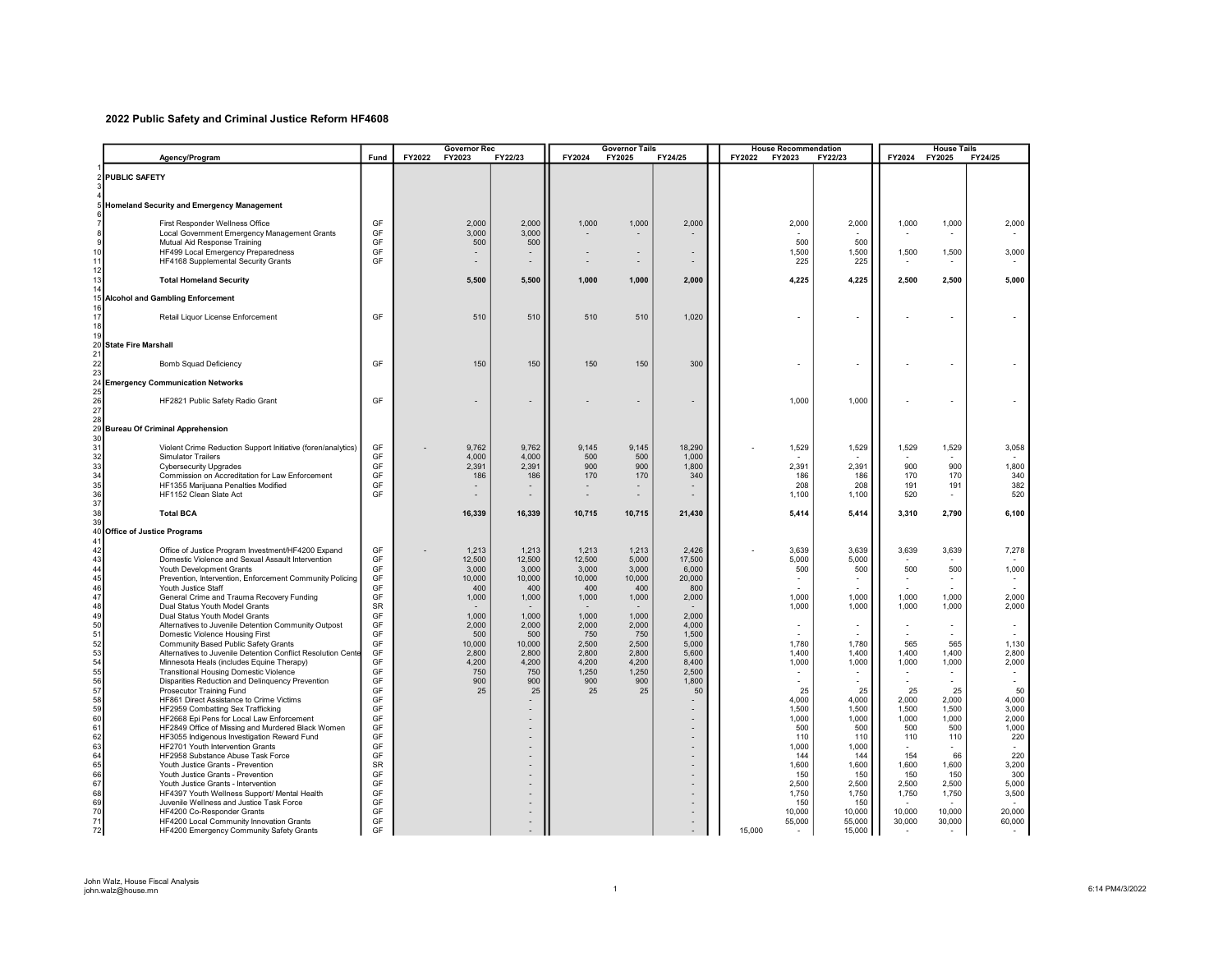## 2022 Public Safety and Criminal Justice Reform HF4608

|          |                                                                                            |                 | <b>Governor Rec</b> |                 | <b>Governor Tails</b> |                 |                          |                 | <b>House Recommendation</b> |                                   |                | <b>House Tails</b> |                |                |
|----------|--------------------------------------------------------------------------------------------|-----------------|---------------------|-----------------|-----------------------|-----------------|--------------------------|-----------------|-----------------------------|-----------------------------------|----------------|--------------------|----------------|----------------|
|          | Agency/Program                                                                             | Fund            | FY2022              | FY2023          | FY22/23               | FY2024          | FY2025                   | FY24/25         | FY2022                      | FY2023                            | FY22/23        | FY2024             | FY2025         | FY24/25        |
|          | <b>PUBLIC SAFETY</b>                                                                       |                 |                     |                 |                       |                 |                          |                 |                             |                                   |                |                    |                |                |
|          |                                                                                            |                 |                     |                 |                       |                 |                          |                 |                             |                                   |                |                    |                |                |
|          | 5 Homeland Security and Emergency Management                                               |                 |                     |                 |                       |                 |                          |                 |                             |                                   |                |                    |                |                |
|          |                                                                                            |                 |                     |                 |                       |                 |                          |                 |                             |                                   |                |                    |                |                |
| 8        | First Responder Wellness Office<br>Local Government Emergency Management Grants            | GF<br>GF        |                     | 2,000<br>3,000  | 2.000<br>3,000        | 1,000           | 1,000                    | 2,000           |                             | 2,000                             | 2,000          | 1,000              | 1,000          | 2,000          |
| 9        | Mutual Aid Response Training                                                               | GF              |                     | 500             | 500                   |                 |                          |                 |                             | 500                               | 500            |                    |                |                |
|          | HF499 Local Emergency Preparedness                                                         | GF              |                     |                 |                       |                 |                          |                 |                             | 1,500                             | 1,500          | 1,500              | 1,500          | 3,000          |
|          | HF4168 Supplemental Security Grants                                                        | GF              |                     | ٠               |                       |                 | $\overline{\phantom{a}}$ |                 |                             | 225                               | 225            |                    |                |                |
|          | <b>Total Homeland Security</b>                                                             |                 |                     | 5,500           | 5.500                 | 1.000           | 1.000                    | 2.000           |                             | 4,225                             | 4.225          | 2.500              | 2,500          | 5.000          |
|          | <b>Alcohol and Gambling Enforcement</b>                                                    |                 |                     |                 |                       |                 |                          |                 |                             |                                   |                |                    |                |                |
|          |                                                                                            |                 |                     |                 |                       |                 |                          |                 |                             |                                   |                |                    |                |                |
|          | Retail Liquor License Enforcement                                                          | GF              |                     | 510             | 510                   | 510             | 510                      | 1,020           |                             |                                   |                |                    |                |                |
|          |                                                                                            |                 |                     |                 |                       |                 |                          |                 |                             |                                   |                |                    |                |                |
|          | 20 State Fire Marshall                                                                     |                 |                     |                 |                       |                 |                          |                 |                             |                                   |                |                    |                |                |
|          | <b>Bomb Squad Deficiency</b>                                                               | GF              |                     | 150             | 150                   | 150             | 150                      | 300             |                             |                                   |                |                    |                |                |
|          |                                                                                            |                 |                     |                 |                       |                 |                          |                 |                             |                                   |                |                    |                |                |
|          | <b>Emergency Communication Networks</b>                                                    |                 |                     |                 |                       |                 |                          |                 |                             |                                   |                |                    |                |                |
|          | HF2821 Public Safety Radio Grant                                                           | GF              |                     |                 |                       |                 |                          |                 |                             | 1,000                             | 1,000          |                    |                |                |
|          |                                                                                            |                 |                     |                 |                       |                 |                          |                 |                             |                                   |                |                    |                |                |
|          |                                                                                            |                 |                     |                 |                       |                 |                          |                 |                             |                                   |                |                    |                |                |
|          | Bureau Of Criminal Apprehension                                                            |                 |                     |                 |                       |                 |                          |                 |                             |                                   |                |                    |                |                |
|          | Violent Crime Reduction Support Initiative (foren/analytics)                               | GF              |                     | 9,762           | 9,762                 | 9,145           | 9,145                    | 18,290          |                             | 1,529                             | 1,529          | 1,529              | 1,529          | 3,058          |
| 32<br>33 | Simulator Trailers<br><b>Cybersecurity Upgrades</b>                                        | GF<br>GF        |                     | 4,000<br>2,391  | 4,000<br>2,391        | 500<br>900      | 500<br>900               | 1,000<br>1,800  |                             | 2,391                             | 2,391          | 900                | 900            | 1,800          |
| 34       | Commission on Accreditation for Law Enforcement                                            | GF              |                     | 186             | 186                   | 170             | 170                      | 340             |                             | 186                               | 186            | 170                | 170            | 340            |
| 35       | HF1355 Marijuana Penalties Modified                                                        | GF              |                     |                 |                       |                 |                          |                 |                             | 208                               | 208            | 191                | 191            | 382            |
| 36<br>37 | HF1152 Clean Slate Act                                                                     | GF              |                     |                 |                       |                 |                          |                 |                             | 1,100                             | 1,100          | 520                |                | 520            |
| 38       | <b>Total BCA</b>                                                                           |                 |                     | 16,339          | 16,339                | 10,715          | 10,715                   | 21,430          |                             | 5,414                             | 5,414          | 3,310              | 2,790          | 6,100          |
|          | 40 Office of Justice Programs                                                              |                 |                     |                 |                       |                 |                          |                 |                             |                                   |                |                    |                |                |
|          |                                                                                            |                 |                     |                 |                       |                 |                          |                 |                             |                                   |                |                    |                |                |
| 42       | Office of Justice Program Investment/HF4200 Expand                                         | GF              |                     | 1,213           | 1,213                 | 1,213           | 1,213                    | 2,426           |                             | 3,639                             | 3,639          | 3,639              | 3,639          | 7,278          |
| 43<br>44 | Domestic Violence and Sexual Assault Intervention<br>Youth Development Grants              | GF<br>GF        |                     | 12,500<br>3,000 | 12.500<br>3.000       | 12.500<br>3.000 | 5.000<br>3,000           | 17,500<br>6,000 |                             | 5.000<br>500                      | 5.000<br>500   | 500                | 500            | 1,000          |
| 45       | Prevention, Intervention, Enforcement Community Policing                                   | GF              |                     | 10,000          | 10,000                | 10.000          | 10,000                   | 20,000          |                             | $\sim$                            |                |                    | ٠              |                |
| 46       | Youth Justice Staff                                                                        | GF              |                     | 400             | 400                   | 400             | 400                      | 800             |                             |                                   |                |                    |                |                |
| 47<br>48 | General Crime and Trauma Recovery Funding<br>Dual Status Youth Model Grants                | GF<br>SR        |                     | 1,000           | 1,000                 | 1,000           | 1,000                    | 2,000           |                             | 1,000<br>1,000                    | 1.000<br>1,000 | 1.000<br>1,000     | 1,000<br>1,000 | 2,000<br>2,000 |
| 49       | Dual Status Youth Model Grants                                                             | GF              |                     | 1,000           | 1,000                 | 1,000           | 1,000                    | 2,000           |                             |                                   |                |                    |                |                |
| 50<br>51 | Alternatives to Juvenile Detention Community Outpost                                       | GF<br>GF        |                     | 2.000<br>500    | 2,000<br>500          | 2.000<br>750    | 2,000<br>750             | 4,000<br>1,500  |                             | $\overline{\phantom{a}}$          |                |                    | ٠              |                |
| 52       | Domestic Violence Housing First<br>Community Based Public Safety Grants                    | GF              |                     | 10,000          | 10,000                | 2,500           | 2,500                    | 5,000           |                             | 1,780                             | 1.780          | 565                | 565            | 1,130          |
| 53       | Alternatives to Juvenile Detention Conflict Resolution Cente                               | GF              |                     | 2,800           | 2,800                 | 2,800           | 2,800                    | 5,600           |                             | 1,400                             | 1,400          | 1,400              | 1,400          | 2,800          |
| 54<br>55 | Minnesota Heals (includes Equine Therapy)<br><b>Transitional Housing Domestic Violence</b> | GF<br>GF        |                     | 4,200<br>750    | 4,200<br>750          | 4,200<br>1,250  | 4,200<br>1,250           | 8,400<br>2,500  |                             | 1,000<br>$\overline{\phantom{a}}$ | 1,000          | 1,000              | 1,000          | 2,000          |
| 56       | Disparities Reduction and Delinquency Prevention                                           | GF              |                     | 900             | 900                   | 900             | 900                      | 1,800           |                             |                                   |                |                    |                | $\sim$         |
| 57       | Prosecutor Training Fund                                                                   | GF              |                     | 25              | 25                    | 25              | 25                       | 50              |                             | 25                                | 25             | 25                 | 25             | 50             |
| 58<br>59 | HF861 Direct Assistance to Crime Victims<br>HF2959 Combatting Sex Trafficking              | GF<br>GF        |                     |                 |                       |                 |                          |                 |                             | 4,000<br>1,500                    | 4,000<br>1,500 | 2,000<br>1,500     | 2,000<br>1,500 | 4,000<br>3,000 |
| 60       | HF2668 Epi Pens for Local Law Enforcement                                                  | GF              |                     |                 |                       |                 |                          |                 |                             | 1,000                             | 1,000          | 1,000              | 1,000          | 2,000          |
| 61       | HF2849 Office of Missing and Murdered Black Women                                          | GF              |                     |                 |                       |                 |                          |                 |                             | 500                               | 500            | 500                | 500            | 1,000          |
| 62<br>63 | HF3055 Indigenous Investigation Reward Fund<br>HF2701 Youth Intervention Grants            | GF<br>GF        |                     |                 |                       |                 |                          |                 |                             | 110<br>1,000                      | 110<br>1,000   | 110                | 110            | 220            |
| 64       | HF2958 Substance Abuse Task Force                                                          | GF              |                     |                 |                       |                 |                          |                 |                             | 144                               | 144            | 154                | 66             | 220            |
| 65       | Youth Justice Grants - Prevention                                                          | <b>SR</b><br>GF |                     |                 |                       |                 |                          |                 |                             | 1,600                             | 1,600          | 1,600<br>150       | 1,600<br>150   | 3,200          |
| 66<br>67 | Youth Justice Grants - Prevention<br>Youth Justice Grants - Intervention                   | GF              |                     |                 |                       |                 |                          |                 |                             | 150<br>2,500                      | 150<br>2,500   | 2,500              | 2,500          | 300<br>5,000   |
| 68       | HF4397 Youth Wellness Support/ Mental Health                                               | GF              |                     |                 |                       |                 |                          |                 |                             | 1,750                             | 1,750          | 1,750              | 1,750          | 3,500          |
| 69<br>70 | Juvenile Wellness and Justice Task Force<br>HF4200 Co-Responder Grants                     | GF<br>GF        |                     |                 |                       |                 |                          |                 |                             | 150<br>10,000                     | 150<br>10,000  | 10,000             | 10,000         | 20,000         |
| 71       | HF4200 Local Community Innovation Grants                                                   | GF              |                     |                 |                       |                 |                          |                 |                             | 55,000                            | 55,000         | 30,000             | 30,000         | 60,000         |
| 72       | HF4200 Emergency Community Safety Grants                                                   | GF              |                     |                 |                       |                 |                          |                 | 15,000                      |                                   | 15,000         |                    |                |                |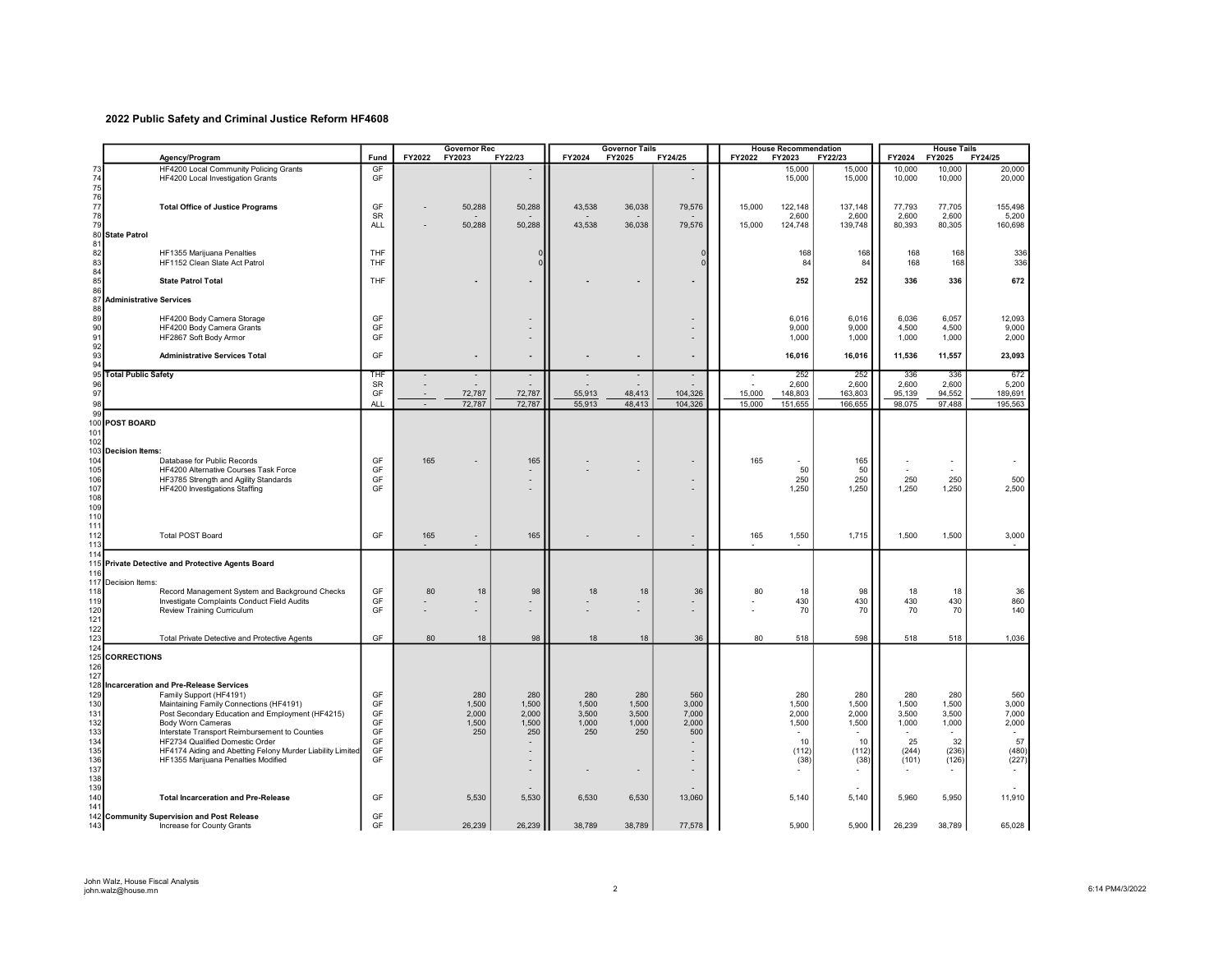## 2022 Public Safety and Criminal Justice Reform HF4608

| FY2022<br>FY22/23<br>FY2024<br>FY2024<br>Agency/Program<br>Fund<br>FY2023<br>FY2025<br>FY24/25<br>FY2022<br>FY2023<br>FY22/23<br>GF<br>HF4200 Local Community Policing Grants<br>15,000<br>10,000<br>15,000<br>73<br>74<br>75<br>76<br>77<br>HF4200 Local Investigation Grants<br>GF<br>15,000<br>15,000<br>10,000<br><b>Total Office of Justice Programs</b><br>GF<br>50,288<br>50,288<br>43.538<br>36,038<br>79,576<br>15,000<br>122,148<br>137,148<br>77,793<br>78<br><b>SR</b><br>2,600<br>2,600<br>2,600 | FY24/25<br>FY2025<br>20,000<br>10,000<br>20,000<br>10,000<br>77,705<br>155,498<br>2,600<br>5,200<br>80,305<br>160,698<br>168<br>336 |
|---------------------------------------------------------------------------------------------------------------------------------------------------------------------------------------------------------------------------------------------------------------------------------------------------------------------------------------------------------------------------------------------------------------------------------------------------------------------------------------------------------------|-------------------------------------------------------------------------------------------------------------------------------------|
|                                                                                                                                                                                                                                                                                                                                                                                                                                                                                                               |                                                                                                                                     |
|                                                                                                                                                                                                                                                                                                                                                                                                                                                                                                               |                                                                                                                                     |
|                                                                                                                                                                                                                                                                                                                                                                                                                                                                                                               |                                                                                                                                     |
|                                                                                                                                                                                                                                                                                                                                                                                                                                                                                                               |                                                                                                                                     |
| 79<br>50,288<br>79,576<br>15,000<br>124,748<br>139,748<br>80,393<br><b>ALL</b><br>50,288<br>43,538<br>36,038<br>80<br><b>State Patrol</b>                                                                                                                                                                                                                                                                                                                                                                     |                                                                                                                                     |
| 81                                                                                                                                                                                                                                                                                                                                                                                                                                                                                                            |                                                                                                                                     |
| 82<br>HF1355 Marijuana Penalties<br>THF<br>168<br>168<br>168<br>n<br>83<br>HF1152 Clean Slate Act Patrol<br>THF<br>84<br>84<br>168<br>$\Omega$                                                                                                                                                                                                                                                                                                                                                                | 336<br>168                                                                                                                          |
| 84                                                                                                                                                                                                                                                                                                                                                                                                                                                                                                            |                                                                                                                                     |
| 85<br>THF<br>252<br>252<br>336<br><b>State Patrol Total</b><br>86                                                                                                                                                                                                                                                                                                                                                                                                                                             | 336<br>672                                                                                                                          |
| 87<br><b>Administrative Services</b><br>88                                                                                                                                                                                                                                                                                                                                                                                                                                                                    |                                                                                                                                     |
| 89<br>HF4200 Body Camera Storage<br>GF<br>6,016<br>6,036<br>6,016                                                                                                                                                                                                                                                                                                                                                                                                                                             | 6,057<br>12,093                                                                                                                     |
| 90<br>GF<br>HF4200 Body Camera Grants<br>9,000<br>9,000<br>4,500<br>÷<br>91<br>GF<br>HF2867 Soft Body Armor<br>1,000<br>1,000<br>1,000                                                                                                                                                                                                                                                                                                                                                                        | 4,500<br>9,000<br>1,000<br>2,000                                                                                                    |
| 92                                                                                                                                                                                                                                                                                                                                                                                                                                                                                                            |                                                                                                                                     |
| 93<br>GF<br>16,016<br><b>Administrative Services Total</b><br>16,016<br>11,536<br>94                                                                                                                                                                                                                                                                                                                                                                                                                          | 11,557<br>23,093                                                                                                                    |
| 95<br><b>Total Public Safety</b><br>252<br>252<br>336<br>THF<br>$\sim$<br>$\blacksquare$<br>÷,<br>SR<br>2,600<br>2,600<br>2,600                                                                                                                                                                                                                                                                                                                                                                               | 336<br>672<br>2,600<br>5,200                                                                                                        |
| 96<br>97<br>GF<br>15,000<br>72,787<br>72,787<br>55,913<br>48,413<br>104,326<br>148,803<br>163,803<br>95,139                                                                                                                                                                                                                                                                                                                                                                                                   | 94,552<br>189,691                                                                                                                   |
| 98<br><b>ALL</b><br>72,787<br>72,787<br>55,913<br>48,413<br>104,326<br>15,000<br>151,655<br>166,655<br>98,075<br>$\sim$<br>99                                                                                                                                                                                                                                                                                                                                                                                 | 97,488<br>195,563                                                                                                                   |
| 100<br><b>POST BOARD</b><br>101<br>102<br>103<br><b>Decision Items:</b>                                                                                                                                                                                                                                                                                                                                                                                                                                       |                                                                                                                                     |
| 104<br>Database for Public Records<br>GF<br>165<br>165<br>165<br>165<br>$\overline{\phantom{a}}$<br>٠                                                                                                                                                                                                                                                                                                                                                                                                         |                                                                                                                                     |
| 105<br>GF<br>50<br>HF4200 Alternative Courses Task Force<br>50<br>$\overline{\phantom{a}}$<br>106<br>GF<br>250<br>250<br>250<br>HF3785 Strength and Agility Standards<br>$\overline{\phantom{a}}$                                                                                                                                                                                                                                                                                                             | ÷.<br>250<br>500                                                                                                                    |
| 107<br>GF<br>1,250<br>1,250<br>1,250<br>HF4200 Investigations Staffing<br>$\overline{\phantom{a}}$                                                                                                                                                                                                                                                                                                                                                                                                            | 1,250<br>2,500                                                                                                                      |
| 108                                                                                                                                                                                                                                                                                                                                                                                                                                                                                                           |                                                                                                                                     |
| 109<br>110                                                                                                                                                                                                                                                                                                                                                                                                                                                                                                    |                                                                                                                                     |
| 111                                                                                                                                                                                                                                                                                                                                                                                                                                                                                                           |                                                                                                                                     |
| GF<br>112<br><b>Total POST Board</b><br>1,500<br>165<br>165<br>165<br>1,550<br>1,715<br>$\overline{\phantom{a}}$<br>$\overline{a}$<br>$\overline{a}$<br>113<br>$\overline{\phantom{a}}$                                                                                                                                                                                                                                                                                                                       | 1,500<br>3,000                                                                                                                      |
| 114<br>115<br>Private Detective and Protective Agents Board<br>116                                                                                                                                                                                                                                                                                                                                                                                                                                            |                                                                                                                                     |
| 117<br>Decision Items:<br>118<br>GF<br>Record Management System and Background Checks<br>80<br>18<br>98<br>18<br>18<br>36<br>80<br>18<br>98<br>18                                                                                                                                                                                                                                                                                                                                                             | 18<br>36                                                                                                                            |
| 119<br>GF<br>430<br>Investigate Complaints Conduct Field Audits<br>430<br>430                                                                                                                                                                                                                                                                                                                                                                                                                                 | 860<br>430                                                                                                                          |
| 120<br>GF<br>Review Training Curriculum<br>70<br>70<br>70<br>121                                                                                                                                                                                                                                                                                                                                                                                                                                              | 70<br>140                                                                                                                           |
| 122                                                                                                                                                                                                                                                                                                                                                                                                                                                                                                           |                                                                                                                                     |
| 123<br>Total Private Detective and Protective Agents<br>GF<br>80<br>98<br>36<br>80<br>518<br>598<br>518<br>18<br>18<br>18<br>124                                                                                                                                                                                                                                                                                                                                                                              | 518<br>1,036                                                                                                                        |
| <b>CORRECTIONS</b><br>125<br>126                                                                                                                                                                                                                                                                                                                                                                                                                                                                              |                                                                                                                                     |
| 127<br>128<br><b>Incarceration and Pre-Release Services</b>                                                                                                                                                                                                                                                                                                                                                                                                                                                   |                                                                                                                                     |
| 129<br>GF<br>280<br>280<br>280<br>280<br>Family Support (HF4191)<br>280<br>280<br>560<br>280                                                                                                                                                                                                                                                                                                                                                                                                                  | 280<br>560                                                                                                                          |
| 130<br>GF<br>1,500<br>3,000<br>1,500<br>1,500<br>Maintaining Family Connections (HF4191)<br>1,500<br>1,500<br>1,500<br>1,500                                                                                                                                                                                                                                                                                                                                                                                  | 3,000<br>1,500                                                                                                                      |
| 131<br>GF<br>2,000<br>3,500<br>Post Secondary Education and Employment (HF4215)<br>2,000<br>3,500<br>3,500<br>7,000<br>2,000<br>2,000<br>132<br>GF<br>1,500<br>1,500<br>1,000<br>1,000<br>2,000<br>1,500<br>1,500<br>1,000<br><b>Body Worn Cameras</b>                                                                                                                                                                                                                                                        | 7,000<br>3,500<br>2,000<br>1,000                                                                                                    |
| 133<br>GF<br>250<br>250<br>Interstate Transport Reimbursement to Counties<br>250<br>250<br>500                                                                                                                                                                                                                                                                                                                                                                                                                |                                                                                                                                     |
| 134<br>25<br>GF<br>HF2734 Qualified Domestic Order<br>10<br>10<br>135<br>GF<br>HF4174 Aiding and Abetting Felony Murder Liability Limited<br>(112)<br>(112)<br>(244)                                                                                                                                                                                                                                                                                                                                          | 32<br>57<br>(236)<br>(480)                                                                                                          |
| $\qquad \qquad \blacksquare$<br>136<br>HF1355 Marijuana Penalties Modified<br>GF<br>(38)<br>(38)<br>(101)<br>$\qquad \qquad \blacksquare$                                                                                                                                                                                                                                                                                                                                                                     | (227)<br>(126)                                                                                                                      |
| 137<br>$\qquad \qquad \blacksquare$                                                                                                                                                                                                                                                                                                                                                                                                                                                                           |                                                                                                                                     |
| 138<br>139                                                                                                                                                                                                                                                                                                                                                                                                                                                                                                    |                                                                                                                                     |
| 140<br>GF<br><b>Total Incarceration and Pre-Release</b><br>5,530<br>5,530<br>6.530<br>6,530<br>13,060<br>5,140<br>5,140<br>5.960<br>141                                                                                                                                                                                                                                                                                                                                                                       | 5,950<br>11,910                                                                                                                     |
| GF<br>142<br><b>Community Supervision and Post Release</b><br>GF<br>5,900<br>143<br>Increase for County Grants<br>26,239<br>26,239<br>38,789<br>38,789<br>77,578<br>5,900<br>26,239                                                                                                                                                                                                                                                                                                                           | 38,789<br>65,028                                                                                                                    |